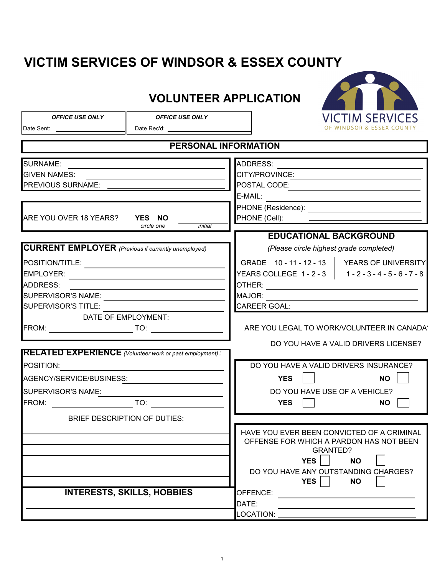## **VICTIM SERVICES OF WINDSOR & ESSEX COUNTY**

## **VOLUNTEER APPLICATION**



*OFFICE USE ONLY OFFICE USE ONLY*

Date Sent: Date Rec'd:

| <b>PERSONAL INFORMATION</b>                                    |                                                                                                     |  |
|----------------------------------------------------------------|-----------------------------------------------------------------------------------------------------|--|
| <b>SURNAME:</b>                                                | ADDRESS:                                                                                            |  |
| <b>GIVEN NAMES:</b>                                            | CITY/PROVINCE:                                                                                      |  |
| PREVIOUS SURNAME: <b>PREVIOUS</b>                              | POSTAL CODE:                                                                                        |  |
|                                                                | E-MAIL:<br><u> 1980 - Jan Stein, amerikansk politiker (d. 1980)</u>                                 |  |
|                                                                | PHONE (Residence): _______________________________                                                  |  |
| ARE YOU OVER 18 YEARS? YES NO                                  | PHONE (Cell):<br>the contract of the contract of the contract of the contract of the contract of    |  |
| circle one<br>initial                                          |                                                                                                     |  |
|                                                                | <b>EDUCATIONAL BACKGROUND</b>                                                                       |  |
| <b>CURRENT EMPLOYER</b> (Previous if currently unemployed)     | (Please circle highest grade completed)                                                             |  |
|                                                                | GRADE 10 - 11 - 12 - 13   YEARS OF UNIVERSITY                                                       |  |
| EMPLOYER:                                                      | YEARS COLLEGE 1-2-3   1-2-3-4-5-6-7-8                                                               |  |
| <b>ADDRESS:</b>                                                |                                                                                                     |  |
|                                                                | MAJOR:<br>the control of the control of the control of the control of the control of the control of |  |
| SUPERVISOR'S TITLE:                                            | CAREER GOAL:                                                                                        |  |
| DATE OF EMPLOYMENT:                                            |                                                                                                     |  |
|                                                                | ARE YOU LEGAL TO WORK/VOLUNTEER IN CANADAY                                                          |  |
|                                                                | DO YOU HAVE A VALID DRIVERS LICENSE?                                                                |  |
| <b>RELATED EXPERIENCE</b> (Volunteer work or past employment): |                                                                                                     |  |
| POSITION:                                                      | DO YOU HAVE A VALID DRIVERS INSURANCE?                                                              |  |
| AGENCY/SERVICE/BUSINESS:                                       | <b>YES</b><br><b>NO</b>                                                                             |  |
| SUPERVISOR'S NAME:                                             | DO YOU HAVE USE OF A VEHICLE?                                                                       |  |
|                                                                | <b>YES</b><br><b>NO</b>                                                                             |  |
| <b>BRIEF DESCRIPTION OF DUTIES:</b>                            |                                                                                                     |  |
|                                                                | HAVE YOU EVER BEEN CONVICTED OF A CRIMINAL                                                          |  |
|                                                                | OFFENSE FOR WHICH A PARDON HAS NOT BEEN                                                             |  |
|                                                                | <b>GRANTED?</b>                                                                                     |  |
|                                                                | $YES$ NO $\Box$                                                                                     |  |
|                                                                | DO YOU HAVE ANY OUTSTANDING CHARGES?                                                                |  |
|                                                                | YES<br><b>NO</b>                                                                                    |  |
| <b>INTERESTS, SKILLS, HOBBIES</b>                              | OFFENCE:                                                                                            |  |
|                                                                | DATE:                                                                                               |  |
|                                                                |                                                                                                     |  |